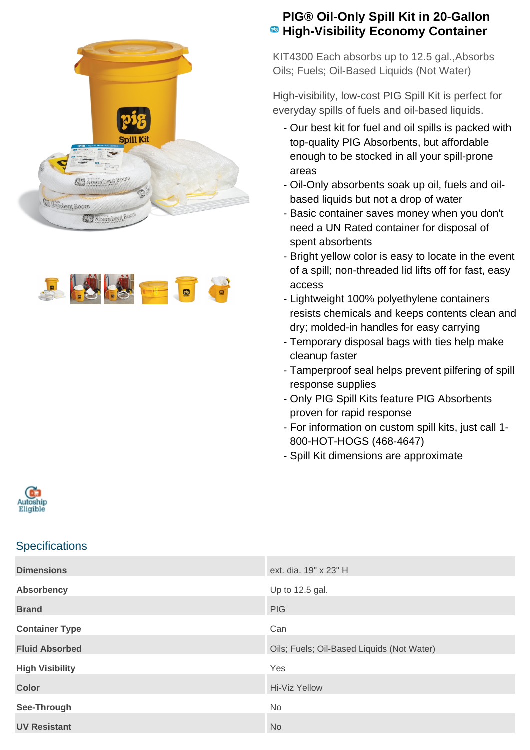



## **PIG® Oil-Only Spill Kit in 20-Gallon**  $\bullet$  **High-Visibility Economy Container**

KIT4300 Each absorbs up to 12.5 gal.,Absorbs Oils; Fuels; Oil-Based Liquids (Not Water)

High-visibility, low-cost PIG Spill Kit is perfect for everyday spills of fuels and oil-based liquids.

- Our best kit for fuel and oil spills is packed with top-quality PIG Absorbents, but affordable enough to be stocked in all your spill-prone areas
- Oil-Only absorbents soak up oil, fuels and oil- based liquids but not a drop of water
- Basic container saves money when you don't need a UN Rated container for disposal of spent absorbents
- Bright yellow color is easy to locate in the event of a spill; non-threaded lid lifts off for fast, easy access
- Lightweight 100% polyethylene containers resists chemicals and keeps contents clean and dry; molded-in handles for easy carrying
- Temporary disposal bags with ties help make cleanup faster
- Tamperproof seal helps prevent pilfering of spill response supplies
- Only PIG Spill Kits feature PIG Absorbents proven for rapid response
- For information on custom spill kits, just call 1-800-HOT-HOGS (468-4647)
- Spill Kit dimensions are approximate



## **Specifications**

| <b>Dimensions</b>      | ext. dia. 19" x 23" H                      |
|------------------------|--------------------------------------------|
| <b>Absorbency</b>      | Up to 12.5 gal.                            |
| <b>Brand</b>           | <b>PIG</b>                                 |
| <b>Container Type</b>  | Can                                        |
| <b>Fluid Absorbed</b>  | Oils; Fuels; Oil-Based Liquids (Not Water) |
| <b>High Visibility</b> | Yes                                        |
| <b>Color</b>           | Hi-Viz Yellow                              |
|                        |                                            |
| See-Through            | No.                                        |
| <b>UV Resistant</b>    | <b>No</b>                                  |